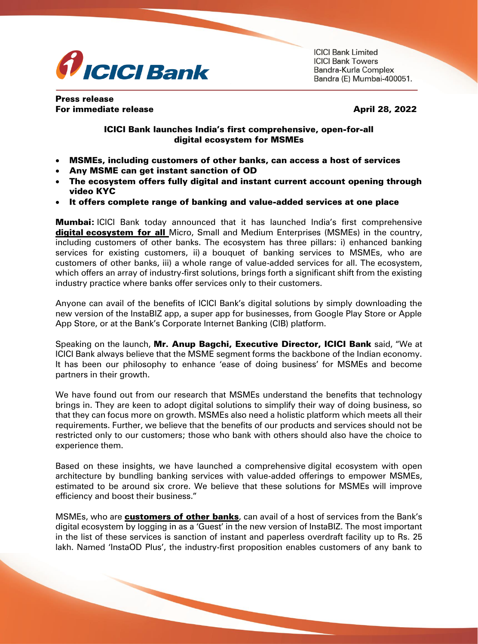

**ICICI Bank Limited ICICI Bank Towers** Bandra-Kurla Complex Bandra (E) Mumbai-400051.

Press release For immediate release April 28, 2022

## ICICI Bank launches India's first comprehensive, open-for-all digital ecosystem for MSMEs

- MSMEs, including customers of other banks, can access a host of services
- Any MSME can get instant sanction of OD
- The ecosystem offers fully digital and instant current account opening through video KYC
- It offers complete range of banking and value-added services at one place

**Mumbai:** ICICI Bank today announced that it has launched India's first comprehensive digital ecosystem for all Micro, Small and Medium Enterprises (MSMEs) in the country, including customers of other banks. The ecosystem has three pillars: i) enhanced banking services for existing customers, ii) a bouquet of banking services to MSMEs, who are customers of other banks, iii) a whole range of value-added services for all. The ecosystem, which offers an array of industry-first solutions, brings forth a significant shift from the existing industry practice where banks offer services only to their customers.

Anyone can avail of the benefits of ICICI Bank's digital solutions by simply downloading the new version of the InstaBIZ app, a super app for businesses, from Google Play Store or Apple App Store, or at the Bank's Corporate Internet Banking (CIB) platform.

Speaking on the launch, Mr. Anup Bagchi, Executive Director, ICICI Bank said, "We at ICICI Bank always believe that the MSME segment forms the backbone of the Indian economy. It has been our philosophy to enhance 'ease of doing business' for MSMEs and become partners in their growth.

We have found out from our research that MSMEs understand the benefits that technology brings in. They are keen to adopt digital solutions to simplify their way of doing business, so that they can focus more on growth. MSMEs also need a holistic platform which meets all their requirements. Further, we believe that the benefits of our products and services should not be restricted only to our customers; those who bank with others should also have the choice to experience them.

Based on these insights, we have launched a comprehensive digital ecosystem with open architecture by bundling banking services with value-added offerings to empower MSMEs, estimated to be around six crore. We believe that these solutions for MSMEs will improve efficiency and boost their business."

MSMEs, who are customers of other banks, can avail of a host of services from the Bank's digital ecosystem by logging in as a 'Guest' in the new version of InstaBIZ. The most important in the list of these services is sanction of instant and paperless overdraft facility up to Rs. 25 lakh. Named 'InstaOD Plus', the industry-first proposition enables customers of any bank to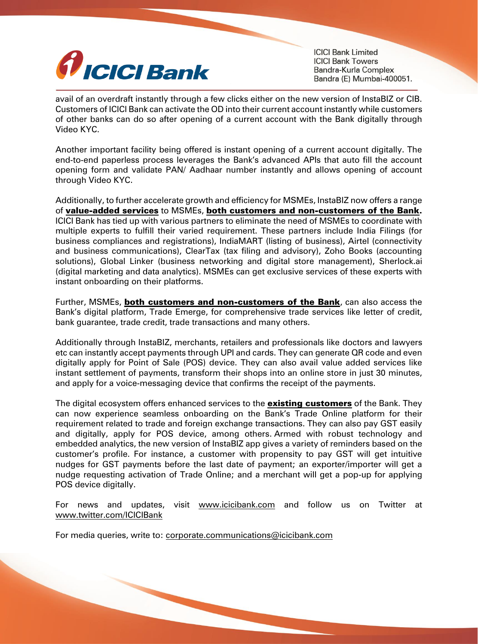

**ICICI Bank Limited ICICI Bank Towers** Bandra-Kurla Complex Bandra (E) Mumbai-400051.

avail of an overdraft instantly through a few clicks either on the new version of InstaBIZ or CIB. Customers of ICICI Bank can activate the OD into their current account instantly while customers of other banks can do so after opening of a current account with the Bank digitally through Video KYC.

Another important facility being offered is instant opening of a current account digitally. The end-to-end paperless process leverages the Bank's advanced APIs that auto fill the account opening form and validate PAN/ Aadhaar number instantly and allows opening of account through Video KYC.

Additionally, to further accelerate growth and efficiency for MSMEs, InstaBIZ now offers a range of value-added services to MSMEs, both customers and non-customers of the Bank. ICICI Bank has tied up with various partners to eliminate the need of MSMEs to coordinate with multiple experts to fulfill their varied requirement. These partners include India Filings (for business compliances and registrations), IndiaMART (listing of business), Airtel (connectivity and business communications), ClearTax (tax filing and advisory), Zoho Books (accounting solutions), Global Linker (business networking and digital store management), Sherlock.ai (digital marketing and data analytics). MSMEs can get exclusive services of these experts with instant onboarding on their platforms.

Further, MSMEs, both customers and non-customers of the Bank, can also access the Bank's digital platform, Trade Emerge, for comprehensive trade services like letter of credit, bank guarantee, trade credit, trade transactions and many others.

Additionally through InstaBIZ, merchants, retailers and professionals like doctors and lawyers etc can instantly accept payments through UPI and cards. They can generate QR code and even digitally apply for Point of Sale (POS) device. They can also avail value added services like instant settlement of payments, transform their shops into an online store in just 30 minutes, and apply for a voice-messaging device that confirms the receipt of the payments.

The digital ecosystem offers enhanced services to the **existing customers** of the Bank. They can now experience seamless onboarding on the Bank's Trade Online platform for their requirement related to trade and foreign exchange transactions. They can also pay GST easily and digitally, apply for POS device, among others. Armed with robust technology and embedded analytics, the new version of InstaBIZ app gives a variety of reminders based on the customer's profile. For instance, a customer with propensity to pay GST will get intuitive nudges for GST payments before the last date of payment; an exporter/importer will get a nudge requesting activation of Trade Online; and a merchant will get a pop-up for applying POS device digitally.

For news and updates, visit [www.icicibank.com](http://secure-web.cisco.com/1CsOwnmSkmH3RZlVA7DuHqQpB0ZADJSPy_p66o3vb70ENsQ8013vAQVvmpelZeN4MBHdfmlkySC9A-xQ2EDAIbvWdFycVXzNb6KdjTpus-PZjG7bgWtTCO-58HTZ25fGOArOEmEOqFYYu-Jr9fSkL8BS_PvomTEsKueRxsO5S2YmGxXkOywNz07KazR3ipm-5ofmL2m-NYFNXcT6fLGnRmTs8o3B1wiSQCiWVxzA2Hw7YoG0zNrlDN5mdy3f3Bt8YFk1S1uu1ZA1i700AQOHsTGFh6oMs6RaEjIir13sBgungUn-jxwGG6oTWss2UQipm/http%3A%2F%2Fwww.icicibank.com) and follow us on Twitter at [www.twitter.com/ICICIBank](http://secure-web.cisco.com/14ShmVkeL3BxcTU3gO9ucLnRemEjkKMxvwkQ4iNbQt8wYd7xLJWnX30NP7J-BpHPXruKcrZArENezG3Zhrb6Tx6VQ-nkVTC9PWy37auaM4b5E2XpGY4D9IEkl-plsRhgIAq_1pSZ2O6C-7Q1_jTOBN5eV75q99dyMOHCWwnFh0Xw928tHC0seGYQbaqA05ks_hmHVtCj3yX62V8xM3akbeDlcORG9ugi-neYva7MElwgVZrWO91dhdEJXZbGg246ju2rpZ7bQ7UDqWs4K0xPP9WYZJZ2AYw8tNu6p-SbRgGf98IfOeDIPpI_Ge78t8Sgm/http%3A%2F%2Fwww.twitter.com%2FICICIBank)

For media queries, write to: [corporate.communications@icicibank.com](mailto:corporate.communications@icicibank.com)